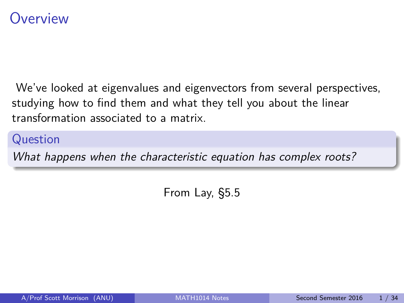### <span id="page-0-0"></span>**Overview**

We've looked at eigenvalues and eigenvectors from several perspectives, studying how to find them and what they tell you about the linear transformation associated to a matrix.

#### Question

What happens when the characteristic equation has complex roots?

From Lay, §5.5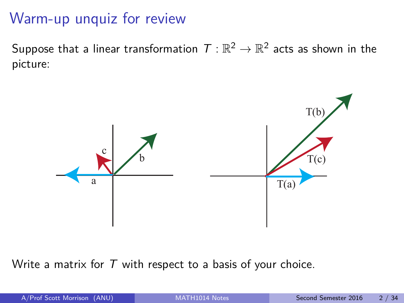# Warm-up unquiz for review

Suppose that a linear transformation  $\,\mathcal{T}:\mathbb{R}^2\to\mathbb{R}^2$  acts as shown in the picture:



Write a matrix for  $T$  with respect to a basis of your choice.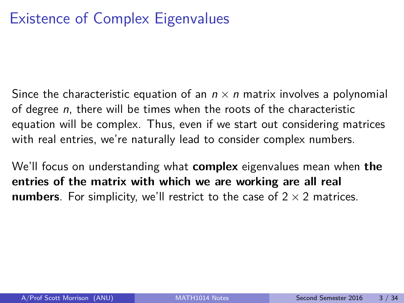Since the characteristic equation of an  $n \times n$  matrix involves a polynomial of degree  $n$ , there will be times when the roots of the characteristic equation will be complex. Thus, even if we start out considering matrices with real entries, we're naturally lead to consider complex numbers.

We'll focus on understanding what **complex** eigenvalues mean when **the entries of the matrix with which we are working are all real numbers**. For simplicity, we'll restrict to the case of  $2 \times 2$  matrices.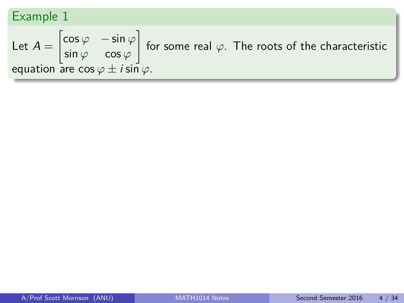Let 
$$
A = \begin{bmatrix} \cos \varphi & -\sin \varphi \\ \sin \varphi & \cos \varphi \end{bmatrix}
$$
 for some real  $\varphi$ . The roots of the characteristic equation are  $\cos \varphi \pm i \sin \varphi$ .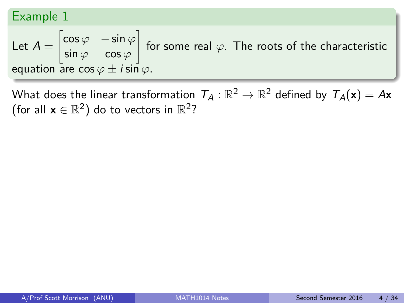Let 
$$
A = \begin{bmatrix} \cos \varphi & -\sin \varphi \\ \sin \varphi & \cos \varphi \end{bmatrix}
$$
 for some real  $\varphi$ . The roots of the characteristic equation are  $\cos \varphi \pm i \sin \varphi$ .

What does the linear transformation  $\mathcal{T}_\mathcal{A}:\mathbb{R}^2\to\mathbb{R}^2$  defined by  $\mathcal{T}_\mathcal{A}(\mathsf{x})=\mathcal{A}\mathsf{x}$ (for all  $\mathbf{x} \in \mathbb{R}^2$ ) do to vectors in  $\mathbb{R}^2$ ?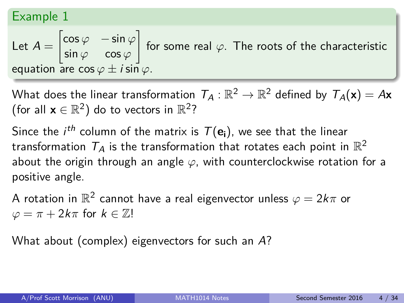Let 
$$
A = \begin{bmatrix} \cos \varphi & -\sin \varphi \\ \sin \varphi & \cos \varphi \end{bmatrix}
$$
 for some real  $\varphi$ . The roots of the characteristic equation are  $\cos \varphi \pm i \sin \varphi$ .

What does the linear transformation  $\mathcal{T}_\mathcal{A}:\mathbb{R}^2\to\mathbb{R}^2$  defined by  $\mathcal{T}_\mathcal{A}(\mathsf{x})=\mathcal{A}\mathsf{x}$ (for all  $\mathbf{x} \in \mathbb{R}^2$ ) do to vectors in  $\mathbb{R}^2$ ?

Since the  $i^{th}$  column of the matrix is  $\mathcal{T}(\mathbf{e_i})$ , we see that the linear transformation  $\, T_A$  is the transformation that rotates each point in  $\mathbb{R}^2$ about the origin through an angle *ϕ*, with counterclockwise rotation for a positive angle.

A rotation in  $\mathbb{R}^2$  cannot have a real eigenvector unless  $\varphi = 2k\pi$  or  $\varphi = \pi + 2k\pi$  for  $k \in \mathbb{Z}!$ 

What about (complex) eigenvectors for such an A?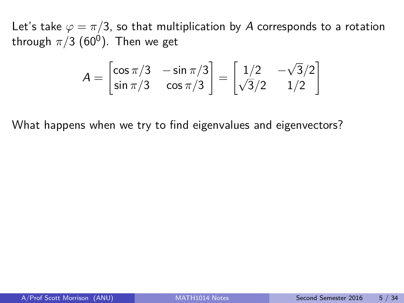Let's take  $\varphi = \pi/3$ , so that multiplication by A corresponds to a rotation through  $\pi/3$  (60<sup>0</sup>). Then we get

$$
A = \begin{bmatrix} \cos \pi/3 & -\sin \pi/3 \\ \sin \pi/3 & \cos \pi/3 \end{bmatrix} = \begin{bmatrix} 1/2 & -\sqrt{3}/2 \\ \sqrt{3}/2 & 1/2 \end{bmatrix}
$$

What happens when we try to find eigenvalues and eigenvectors?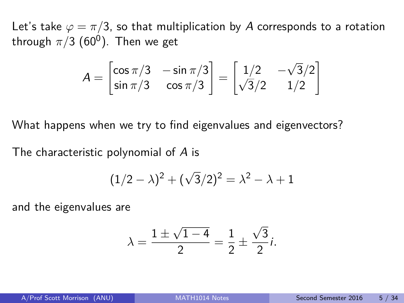Let's take  $\varphi = \pi/3$ , so that multiplication by A corresponds to a rotation through  $\pi/3$  (60<sup>0</sup>). Then we get

$$
A = \begin{bmatrix} \cos \pi/3 & -\sin \pi/3 \\ \sin \pi/3 & \cos \pi/3 \end{bmatrix} = \begin{bmatrix} 1/2 & -\sqrt{3}/2 \\ \sqrt{3}/2 & 1/2 \end{bmatrix}
$$

What happens when we try to find eigenvalues and eigenvectors?

The characteristic polynomial of A is

$$
(1/2 - \lambda)^2 + (\sqrt{3}/2)^2 = \lambda^2 - \lambda + 1
$$

and the eigenvalues are

$$
\lambda = \frac{1 \pm \sqrt{1 - 4}}{2} = \frac{1}{2} \pm \frac{\sqrt{3}}{2}i.
$$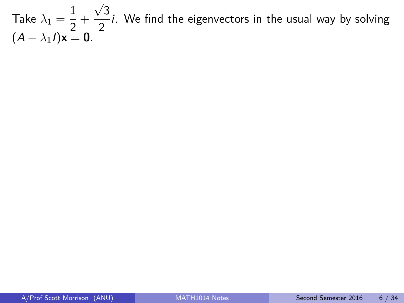Take  $\lambda_1=\frac{1}{2}$  $\frac{1}{2}$  + √ 3  $\frac{1}{2}i$ . We find the eigenvectors in the usual way by solving  $(A - \lambda_1 I)\mathbf{x} = \mathbf{0}$ .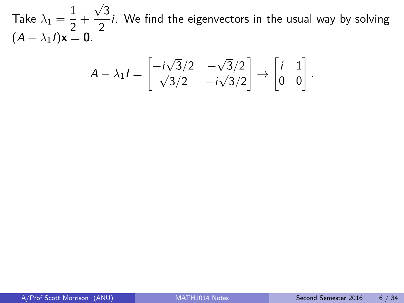Take  $\lambda_1=\frac{1}{2}$  $\frac{1}{2}$  + √ 3  $\frac{1}{2}i$ . We find the eigenvectors in the usual way by solving  $(A - \lambda_1 I)\mathbf{x} = \mathbf{0}$ .

$$
A - \lambda_1 I = \begin{bmatrix} -i\sqrt{3}/2 & -\sqrt{3}/2 \\ \sqrt{3}/2 & -i\sqrt{3}/2 \end{bmatrix} \rightarrow \begin{bmatrix} i & 1 \\ 0 & 0 \end{bmatrix}
$$

*.*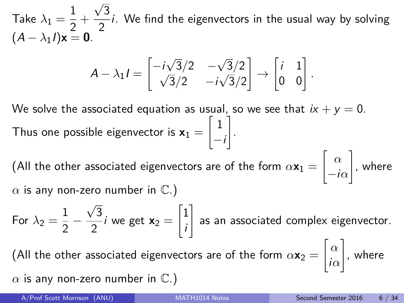Take  $\lambda_1=\frac{1}{2}$  $\frac{1}{2}$  + √ 3  $\frac{1}{2}i$ . We find the eigenvectors in the usual way by solving  $(A - \lambda_1 I)\mathbf{x} = \mathbf{0}$ .

$$
A - \lambda_1 I = \begin{bmatrix} -i\sqrt{3}/2 & -\sqrt{3}/2 \\ \sqrt{3}/2 & -i\sqrt{3}/2 \end{bmatrix} \rightarrow \begin{bmatrix} i & 1 \\ 0 & 0 \end{bmatrix}.
$$

We solve the associated equation as usual, so we see that  $ix + y = 0$ . Thus one possible eigenvector is  $\mathsf{x}_1 =$  $\left\lceil 1 \right\rceil$  $-i$ 1 .

(All the other associated eigenvectors are of the form  $\alpha \mathbf{x}_1 =$ " *α*  $-i\alpha$ 1 , where  $\alpha$  is any non-zero number in  $\mathbb{C}$ .)

For  $\lambda_2 = \frac{1}{2}$  $\frac{1}{2}$  – √ 3  $\frac{1}{2}$ *i* we get  $\mathbf{x}_2 =$  $\sqrt{1}$ i 1 as an associated complex eigenvector. (All the other associated eigenvectors are of the form  $\alpha \mathbf{x}_2 =$  $\lceil \alpha \rceil$ i*α* 1 , where  $\alpha$  is any non-zero number in  $\mathbb{C}$ .)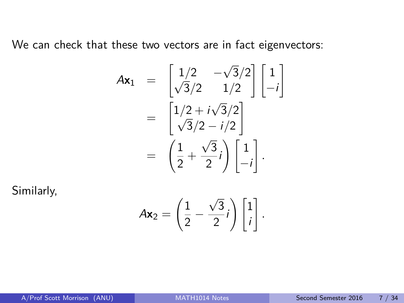We can check that these two vectors are in fact eigenvectors:

$$
A\mathbf{x}_1 = \begin{bmatrix} 1/2 & -\sqrt{3}/2 \\ \sqrt{3}/2 & 1/2 \end{bmatrix} \begin{bmatrix} 1 \\ -i \end{bmatrix}
$$

$$
= \begin{bmatrix} 1/2 + i\sqrt{3}/2 \\ \sqrt{3}/2 - i/2 \end{bmatrix}
$$

$$
= \begin{bmatrix} \frac{1}{2} + \frac{\sqrt{3}}{2}i \end{bmatrix} \begin{bmatrix} 1 \\ -i \end{bmatrix}.
$$

Similarly,

$$
A\mathbf{x}_2 = \left(\frac{1}{2} - \frac{\sqrt{3}}{2}i\right)\begin{bmatrix}1\\i\end{bmatrix}.
$$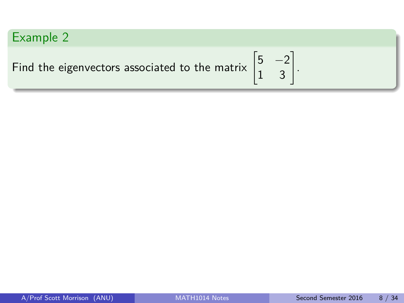Example 2  
Find the eigenvectors associated to the matrix 
$$
\begin{bmatrix} 5 & -2 \\ 1 & 3 \end{bmatrix}
$$
.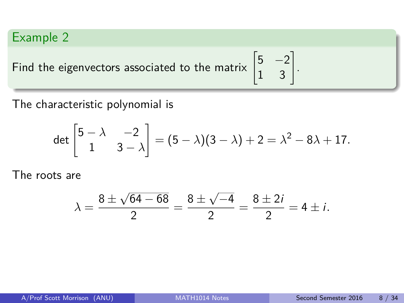Find the eigenvectors associated to the matrix  $\begin{bmatrix} 5 & -2 \\ 1 & 3 \end{bmatrix}$ .

The characteristic polynomial is

$$
\det\begin{bmatrix} 5-\lambda & -2 \\ 1 & 3-\lambda \end{bmatrix} = (5-\lambda)(3-\lambda) + 2 = \lambda^2 - 8\lambda + 17.
$$

The roots are

$$
\lambda = \frac{8 \pm \sqrt{64 - 68}}{2} = \frac{8 \pm \sqrt{-4}}{2} = \frac{8 \pm 2i}{2} = 4 \pm i.
$$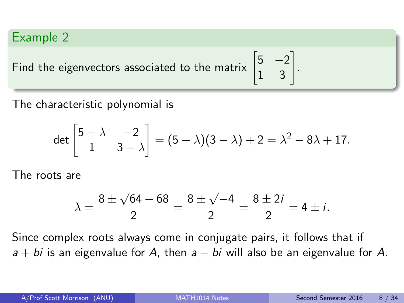Find the eigenvectors associated to the matrix  $\begin{bmatrix} 5 & -2 \\ 1 & 3 \end{bmatrix}$ .

The characteristic polynomial is

$$
\det\begin{bmatrix} 5-\lambda & -2 \\ 1 & 3-\lambda \end{bmatrix} = (5-\lambda)(3-\lambda) + 2 = \lambda^2 - 8\lambda + 17.
$$

The roots are

$$
\lambda = \frac{8 \pm \sqrt{64 - 68}}{2} = \frac{8 \pm \sqrt{-4}}{2} = \frac{8 \pm 2i}{2} = 4 \pm i.
$$

Since complex roots always come in conjugate pairs, it follows that if  $a + bi$  is an eigenvalue for A, then  $a - bi$  will also be an eigenvalue for A.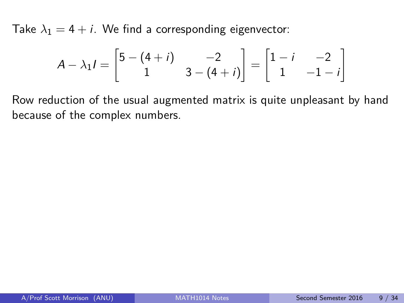Take  $\lambda_1 = 4 + i$ . We find a corresponding eigenvector:

$$
A - \lambda_1 I = \begin{bmatrix} 5 - (4 + i) & -2 \\ 1 & 3 - (4 + i) \end{bmatrix} = \begin{bmatrix} 1 - i & -2 \\ 1 & -1 - i \end{bmatrix}
$$

Row reduction of the usual augmented matrix is quite unpleasant by hand because of the complex numbers.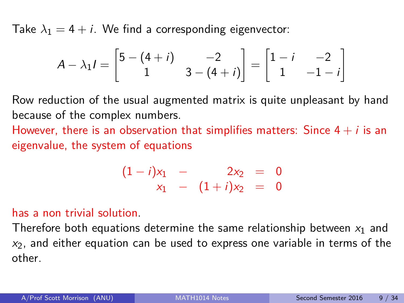Take  $\lambda_1 = 4 + i$ . We find a corresponding eigenvector:

$$
A - \lambda_1 I = \begin{bmatrix} 5 - (4 + i) & -2 \\ 1 & 3 - (4 + i) \end{bmatrix} = \begin{bmatrix} 1 - i & -2 \\ 1 & -1 - i \end{bmatrix}
$$

Row reduction of the usual augmented matrix is quite unpleasant by hand because of the complex numbers.

However, there is an observation that simplifies matters: Since  $4 + i$  is an eigenvalue, the system of equations

$$
\begin{array}{rcl}\n(1-i)x_1 & - & 2x_2 & = & 0 \\
x_1 & - & (1+i)x_2 & = & 0\n\end{array}
$$

#### has a non trivial solution.

Therefore both equations determine the same relationship between  $x_1$  and  $x_2$ , and either equation can be used to express one variable in terms of the other.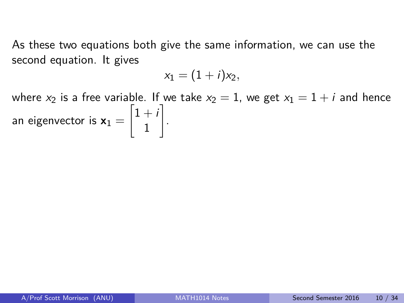As these two equations both give the same information, we can use the second equation. It gives

$$
x_1=(1+i)x_2,
$$

where  $x_2$  is a free variable. If we take  $x_2 = 1$ , we get  $x_1 = 1 + i$  and hence an eigenvector is  $x_1 =$  $\left[1+i\right]$ 1 1 .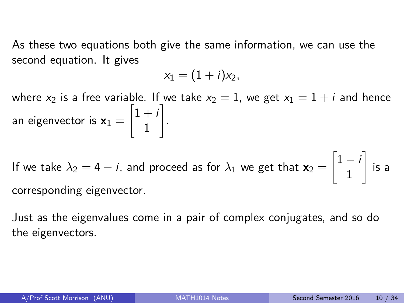As these two equations both give the same information, we can use the second equation. It gives

$$
x_1=(1+i)x_2,
$$

where  $x_2$  is a free variable. If we take  $x_2 = 1$ , we get  $x_1 = 1 + i$  and hence an eigenvector is  $x_1 =$  $\left[1+i\right]$ 1 1 .

If we take  $\lambda_2 = 4 - i$ , and proceed as for  $\lambda_1$  we get that  $\mathbf{x}_2 =$  $\left[1-i\right]$ 1 1 is a corresponding eigenvector.

Just as the eigenvalues come in a pair of complex conjugates, and so do the eigenvectors.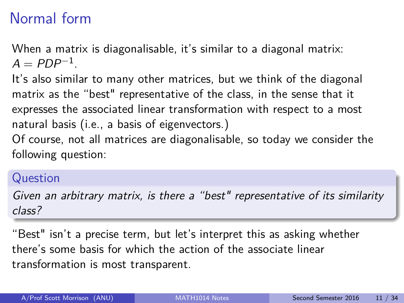# Normal form

When a matrix is diagonalisable, it's similar to a diagonal matrix:  $A = PDP^{-1}$ .

It's also similar to many other matrices, but we think of the diagonal matrix as the "best" representative of the class, in the sense that it expresses the associated linear transformation with respect to a most natural basis (i.e., a basis of eigenvectors.)

Of course, not all matrices are diagonalisable, so today we consider the following question:

#### Question

Given an arbitrary matrix, is there a "best" representative of its similarity class?

"Best" isn't a precise term, but let's interpret this as asking whether there's some basis for which the action of the associate linear transformation is most transparent.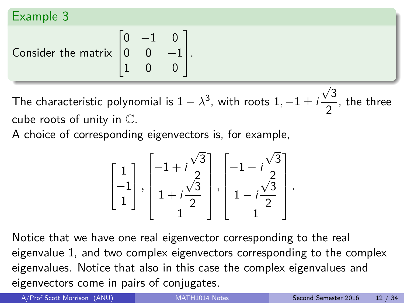Consider the matrix  $\sqrt{ }$  $\overline{\phantom{a}}$  $0 -1 0$  $0 \t 0 \t -1$ 1 0 0 1  $\vert \cdot$ 

The characteristic polynomial is  $1-\lambda^3$ , with roots  $1, -1 \pm i$ √ 3  $\frac{1}{2}$ , the three cube roots of unity in C.

A choice of corresponding eigenvectors is, for example,

$$
\begin{bmatrix} 1 \\ -1 \\ 1 \end{bmatrix}, \begin{bmatrix} -1 + i\frac{\sqrt{3}}{2} \\ 1 + i\frac{\sqrt{3}}{2} \\ 1 \end{bmatrix}, \begin{bmatrix} -1 - i\frac{\sqrt{3}}{2} \\ 1 - i\frac{\sqrt{3}}{2} \\ 1 \end{bmatrix}.
$$

Notice that we have one real eigenvector corresponding to the real eigenvalue 1, and two complex eigenvectors corresponding to the complex eigenvalues. Notice that also in this case the complex eigenvalues and eigenvectors come in pairs of conjugates.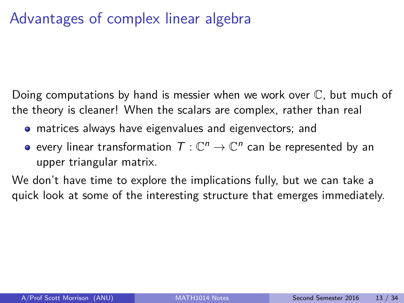# Advantages of complex linear algebra

Doing computations by hand is messier when we work over C, but much of the theory is cleaner! When the scalars are complex, rather than real

- matrices always have eigenvalues and eigenvectors; and
- every linear transformation  $\mathcal{T}:\mathbb{C}^n\to\mathbb{C}^n$  can be represented by an upper triangular matrix.

We don't have time to explore the implications fully, but we can take a quick look at some of the interesting structure that emerges immediately.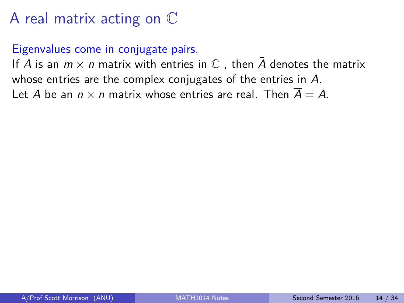#### Eigenvalues come in conjugate pairs.

If A is an  $m \times n$  matrix with entries in  $\mathbb C$ , then  $\overline{A}$  denotes the matrix whose entries are the complex conjugates of the entries in A. Let A be an  $n \times n$  matrix whose entries are real. Then  $\overline{A} = A$ .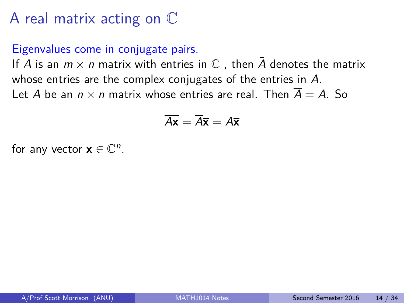#### Eigenvalues come in conjugate pairs.

If A is an  $m \times n$  matrix with entries in  $\mathbb C$ , then A denotes the matrix whose entries are the complex conjugates of the entries in A. Let A be an  $n \times n$  matrix whose entries are real. Then  $\overline{A} = A$ . So

$$
\overline{A\mathbf{x}} = \overline{A}\overline{\mathbf{x}} = A\overline{\mathbf{x}}
$$

for any vector  $\mathbf{x} \in \mathbb{C}^n$ .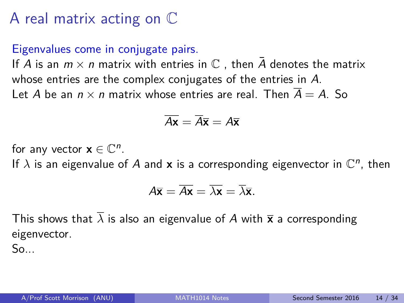#### Eigenvalues come in conjugate pairs.

If A is an  $m \times n$  matrix with entries in  $\mathbb C$ , then A denotes the matrix whose entries are the complex conjugates of the entries in A. Let A be an  $n \times n$  matrix whose entries are real. Then  $\overline{A} = A$ . So

$$
\overline{A\mathbf{x}} = \overline{A}\overline{\mathbf{x}} = A\overline{\mathbf{x}}
$$

for any vector  $\mathbf{x} \in \mathbb{C}^n$ .

If  $\lambda$  is an eigenvalue of A and **x** is a corresponding eigenvector in  $\mathbb{C}^n$ , then

$$
A\overline{\mathbf{x}} = \overline{A\mathbf{x}} = \overline{\lambda\mathbf{x}} = \overline{\lambda}\overline{\mathbf{x}}.
$$

This shows that  $\overline{\lambda}$  is also an eigenvalue of A with  $\overline{x}$  a corresponding eigenvector.

So...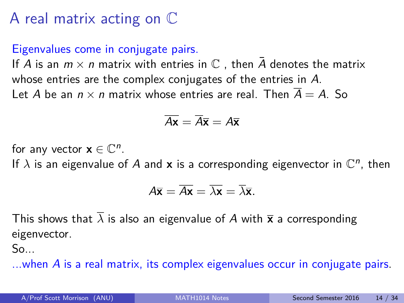#### Eigenvalues come in conjugate pairs.

If A is an  $m \times n$  matrix with entries in  $\mathbb C$ , then A denotes the matrix whose entries are the complex conjugates of the entries in A. Let A be an  $n \times n$  matrix whose entries are real. Then  $\overline{A} = A$ . So

$$
\overline{A\mathbf{x}} = \overline{A}\overline{\mathbf{x}} = A\overline{\mathbf{x}}
$$

for any vector  $\mathbf{x} \in \mathbb{C}^n$ .

If  $\lambda$  is an eigenvalue of A and **x** is a corresponding eigenvector in  $\mathbb{C}^n$ , then

$$
A\overline{\mathbf{x}} = \overline{A\mathbf{x}} = \overline{\lambda\mathbf{x}} = \overline{\lambda}\overline{\mathbf{x}}.
$$

This shows that  $\overline{\lambda}$  is also an eigenvalue of A with  $\overline{x}$  a corresponding eigenvector.

So...

...when  $\overline{A}$  is a real matrix, its complex eigenvalues occur in conjugate pairs.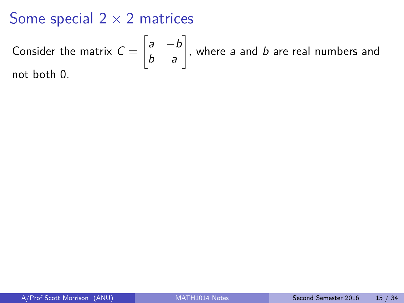### Some special  $2 \times 2$  matrices

Consider the matrix 
$$
C = \begin{bmatrix} a & -b \\ b & a \end{bmatrix}
$$
, where *a* and *b* are real numbers and not both 0.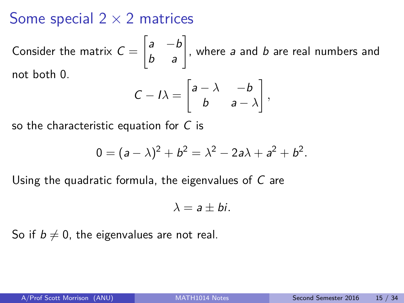### Some special  $2 \times 2$  matrices

Consider the matrix  $C=$  $\begin{bmatrix} a & -b \\ b & a \end{bmatrix}$ , where a and b are real numbers and not both 0.

$$
C - I\lambda = \begin{bmatrix} a - \lambda & -b \\ b & a - \lambda \end{bmatrix},
$$

so the characteristic equation for C is

$$
0 = (a - \lambda)^2 + b^2 = \lambda^2 - 2a\lambda + a^2 + b^2.
$$

Using the quadratic formula, the eigenvalues of C are

$$
\lambda = a \pm bi.
$$

So if  $b \neq 0$ , the eigenvalues are not real.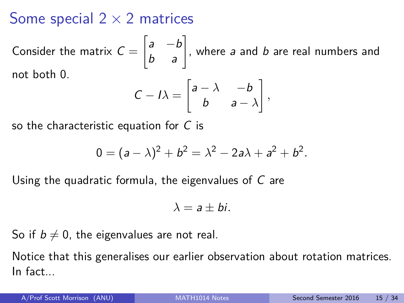### Some special  $2 \times 2$  matrices

Consider the matrix  $C=$  $\begin{bmatrix} a & -b \\ b & a \end{bmatrix}$ , where a and b are real numbers and not both 0.

$$
C - I\lambda = \begin{bmatrix} a - \lambda & -b \\ b & a - \lambda \end{bmatrix},
$$

so the characteristic equation for C is

$$
0 = (a - \lambda)^2 + b^2 = \lambda^2 - 2a\lambda + a^2 + b^2.
$$

Using the quadratic formula, the eigenvalues of C are

$$
\lambda = a \pm bi.
$$

So if  $b \neq 0$ , the eigenvalues are not real.

Notice that this generalises our earlier observation about rotation matrices. In fact...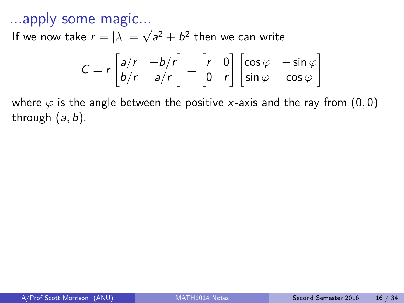...apply some magic...

If we now take  $r = |\lambda| =$ √  $a^2 + b^2$  then we can write

$$
C = r \begin{bmatrix} a/r & -b/r \\ b/r & a/r \end{bmatrix} = \begin{bmatrix} r & 0 \\ 0 & r \end{bmatrix} \begin{bmatrix} \cos \varphi & -\sin \varphi \\ \sin \varphi & \cos \varphi \end{bmatrix}
$$

where  $\varphi$  is the angle between the positive x-axis and the ray from  $(0,0)$ through (a*,* b).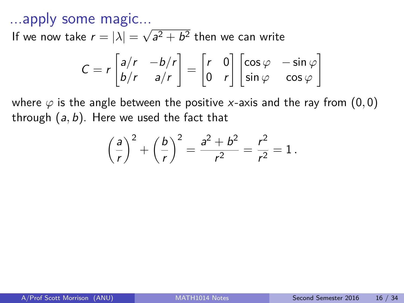...apply some magic...

If we now take  $r = |\lambda| =$ √  $a^2 + b^2$  then we can write

$$
C = r \begin{bmatrix} a/r & -b/r \\ b/r & a/r \end{bmatrix} = \begin{bmatrix} r & 0 \\ 0 & r \end{bmatrix} \begin{bmatrix} \cos \varphi & -\sin \varphi \\ \sin \varphi & \cos \varphi \end{bmatrix}
$$

where  $\varphi$  is the angle between the positive x-axis and the ray from  $(0,0)$ through (a*,* b). Here we used the fact that

$$
\left(\frac{a}{r}\right)^2 + \left(\frac{b}{r}\right)^2 = \frac{a^2 + b^2}{r^2} = \frac{r^2}{r^2} = 1.
$$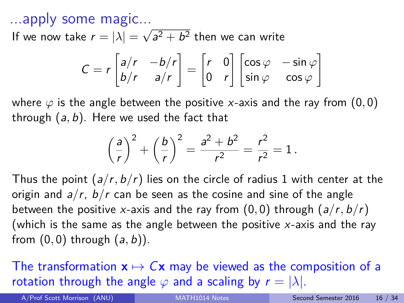...apply some magic...

If we now take  $r = |\lambda| =$ √  $a^2 + b^2$  then we can write

$$
C = r \begin{bmatrix} a/r & -b/r \\ b/r & a/r \end{bmatrix} = \begin{bmatrix} r & 0 \\ 0 & r \end{bmatrix} \begin{bmatrix} \cos \varphi & -\sin \varphi \\ \sin \varphi & \cos \varphi \end{bmatrix}
$$

where *ϕ* is the angle between the positive x-axis and the ray from (0*,* 0) through (a*,* b). Here we used the fact that

$$
\left(\frac{a}{r}\right)^2 + \left(\frac{b}{r}\right)^2 = \frac{a^2 + b^2}{r^2} = \frac{r^2}{r^2} = 1.
$$

Thus the point (a*/*r*,* b*/*r) lies on the circle of radius 1 with center at the origin and a*/*r, b*/*r can be seen as the cosine and sine of the angle between the positive x-axis and the ray from  $(0,0)$  through  $(a/r, b/r)$ (which is the same as the angle between the positive  $x$ -axis and the ray from (0*,* 0) through (a*,* b)).

The transformation  $x \mapsto Cx$  may be viewed as the composition of a rotation through the angle  $\varphi$  and a scaling by  $r = |\lambda|$ .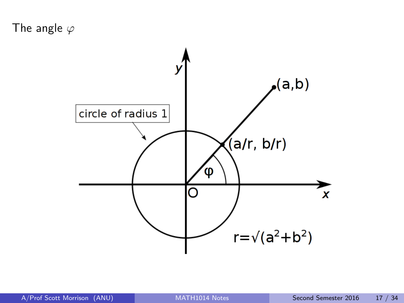The angle *ϕ*

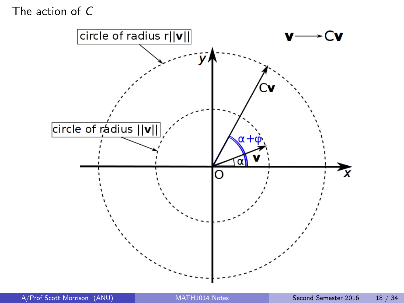The action of C

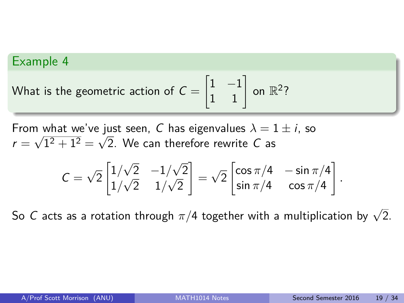What is the geometric action of 
$$
C = \begin{bmatrix} 1 & -1 \\ 1 & 1 \end{bmatrix}
$$
 on  $\mathbb{R}^2$ ?

From what we've just seen, C has eigenvalues  $\lambda = 1 \pm i$ , so  $r=\sqrt{1^2+1^2}=\sqrt{2}.$  We can therefore rewrite  $C$  as

$$
C = \sqrt{2} \begin{bmatrix} 1/\sqrt{2} & -1/\sqrt{2} \\ 1/\sqrt{2} & 1/\sqrt{2} \end{bmatrix} = \sqrt{2} \begin{bmatrix} \cos \pi/4 & -\sin \pi/4 \\ \sin \pi/4 & \cos \pi/4 \end{bmatrix}
$$

So C acts as a rotation through  $\pi/4$  together with a multiplication by  $\sqrt{2}.$ 

*.*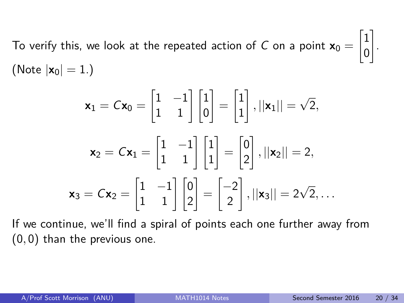To verify this, we look at the repeated action of  $C$  on a point  $\mathsf{x}_0 =$  $\sqrt{1}$ 0 1 . (Note  $|x_0| = 1.$ )

$$
\mathbf{x}_1 = C\mathbf{x}_0 = \begin{bmatrix} 1 & -1 \\ 1 & 1 \end{bmatrix} \begin{bmatrix} 1 \\ 0 \end{bmatrix} = \begin{bmatrix} 1 \\ 1 \end{bmatrix}, ||\mathbf{x}_1|| = \sqrt{2},
$$

$$
\mathbf{x}_2 = C\mathbf{x}_1 = \begin{bmatrix} 1 & -1 \\ 1 & 1 \end{bmatrix} \begin{bmatrix} 1 \\ 1 \end{bmatrix} = \begin{bmatrix} 0 \\ 2 \end{bmatrix}, ||\mathbf{x}_2|| = 2,
$$

$$
\mathbf{x}_3 = C\mathbf{x}_2 = \begin{bmatrix} 1 & -1 \\ 1 & 1 \end{bmatrix} \begin{bmatrix} 0 \\ 2 \end{bmatrix} = \begin{bmatrix} -2 \\ 2 \end{bmatrix}, ||\mathbf{x}_3|| = 2\sqrt{2}, \dots
$$

If we continue, we'll find a spiral of points each one further away from (0*,* 0) than the previous one.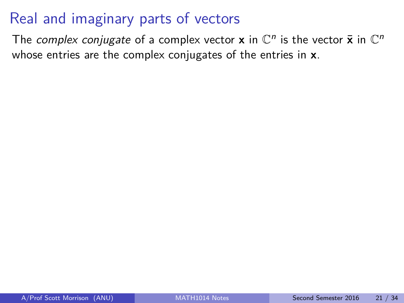# Real and imaginary parts of vectors

The complex conjugate of a complex vector **x** in  $\mathbb{C}^n$  is the vector  $\bar{\mathbf{x}}$  in  $\mathbb{C}^n$ whose entries are the complex conjugates of the entries in **x**.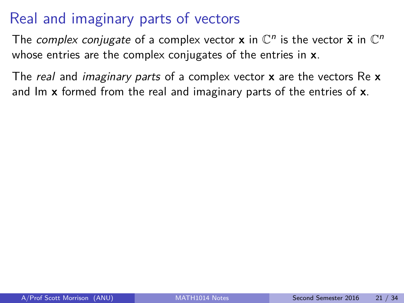# Real and imaginary parts of vectors

The complex conjugate of a complex vector **x** in  $\mathbb{C}^n$  is the vector  $\bar{\mathbf{x}}$  in  $\mathbb{C}^n$ whose entries are the complex conjugates of the entries in **x**.

The real and imaginary parts of a complex vector **x** are the vectors Re **x** and Im **x** formed from the real and imaginary parts of the entries of **x**.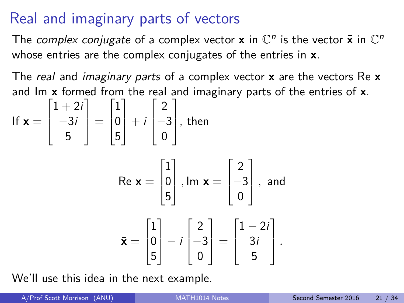# Real and imaginary parts of vectors

The complex conjugate of a complex vector **x** in  $\mathbb{C}^n$  is the vector  $\bar{\mathbf{x}}$  in  $\mathbb{C}^n$ whose entries are the complex conjugates of the entries in **x**.

The real and imaginary parts of a complex vector **x** are the vectors Re **x** and Im **x** formed from the real and imaginary parts of the entries of **x**.

If 
$$
\mathbf{x} = \begin{bmatrix} 1+2i \\ -3i \\ 5 \end{bmatrix} = \begin{bmatrix} 1 \\ 0 \\ 5 \end{bmatrix} + i \begin{bmatrix} 2 \\ -3 \\ 0 \end{bmatrix}
$$
, then  
\n
$$
\text{Re } \mathbf{x} = \begin{bmatrix} 1 \\ 0 \\ 5 \end{bmatrix}, \text{Im } \mathbf{x} = \begin{bmatrix} 2 \\ -3 \\ 0 \end{bmatrix}, \text{ and}
$$
\n
$$
\bar{\mathbf{x}} = \begin{bmatrix} 1 \\ 0 \\ 5 \end{bmatrix} - i \begin{bmatrix} 2 \\ -3 \\ 0 \end{bmatrix} = \begin{bmatrix} 1-2i \\ 3i \\ 5 \end{bmatrix}.
$$

We'll use this idea in the next example.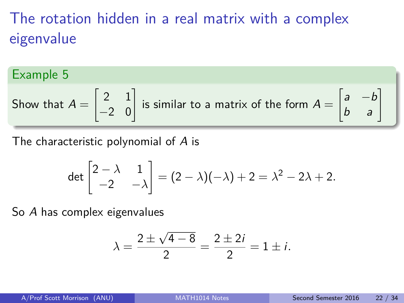# The rotation hidden in a real matrix with a complex eigenvalue

### Example 5

Show that 
$$
A = \begin{bmatrix} 2 & 1 \\ -2 & 0 \end{bmatrix}
$$
 is similar to a matrix of the form  $A = \begin{bmatrix} a & -b \\ b & a \end{bmatrix}$ 

The characteristic polynomial of A is

$$
\det\begin{bmatrix}2-\lambda & 1\\-2 & -\lambda\end{bmatrix}=(2-\lambda)(-\lambda)+2=\lambda^2-2\lambda+2.
$$

So A has complex eigenvalues

$$
\lambda = \frac{2 \pm \sqrt{4 - 8}}{2} = \frac{2 \pm 2i}{2} = 1 \pm i.
$$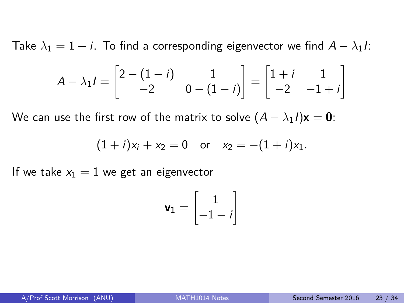Take  $\lambda_1 = 1 - i$ . To find a corresponding eigenvector we find  $A - \lambda_1 I$ :

$$
A - \lambda_1 I = \begin{bmatrix} 2 - (1 - i) & 1 \\ -2 & 0 - (1 - i) \end{bmatrix} = \begin{bmatrix} 1 + i & 1 \\ -2 & -1 + i \end{bmatrix}
$$

We can use the first row of the matrix to solve  $(A - \lambda_1 I)\mathbf{x} = \mathbf{0}$ :

$$
(1+i)x_1 + x_2 = 0
$$
 or  $x_2 = -(1+i)x_1$ .

If we take  $x_1 = 1$  we get an eigenvector

$$
\mathbf{v}_1 = \begin{bmatrix} 1 \\ -1 - i \end{bmatrix}
$$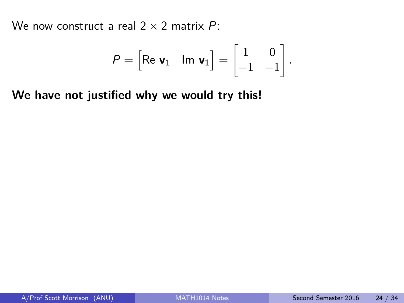We now construct a real  $2 \times 2$  matrix P:

$$
P = \begin{bmatrix} \text{Re } \mathbf{v}_1 & \text{Im } \mathbf{v}_1 \end{bmatrix} = \begin{bmatrix} 1 & 0 \\ -1 & -1 \end{bmatrix}.
$$

**We have not justified why we would try this!**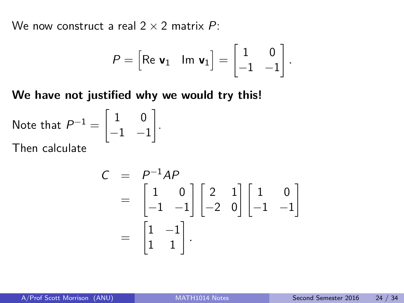We now construct a real  $2 \times 2$  matrix P:

$$
P = \begin{bmatrix} \text{Re } \mathbf{v}_1 & \text{Im } \mathbf{v}_1 \end{bmatrix} = \begin{bmatrix} 1 & 0 \\ -1 & -1 \end{bmatrix}.
$$

**We have not justified why we would try this!**

Note that  $P^{-1} = \begin{bmatrix} 1 & 0 \ 1 & 0 \end{bmatrix}$  $-1$   $-1$ 1 . Then calculate

$$
C = P^{-1}AP
$$
  
=  $\begin{bmatrix} 1 & 0 \\ -1 & -1 \end{bmatrix} \begin{bmatrix} 2 & 1 \\ -2 & 0 \end{bmatrix} \begin{bmatrix} 1 & 0 \\ -1 & -1 \end{bmatrix}$   
=  $\begin{bmatrix} 1 & -1 \\ 1 & 1 \end{bmatrix}$ .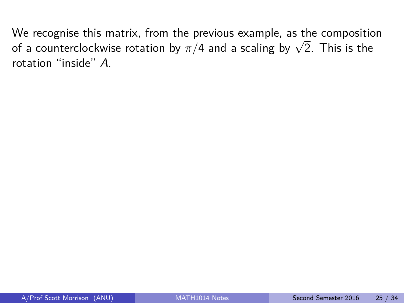We recognise this matrix, from the previous example, as the composition of a counterclockwise rotation by *π/*4 and a scaling by <sup>√</sup> 2. This is the rotation "inside" A.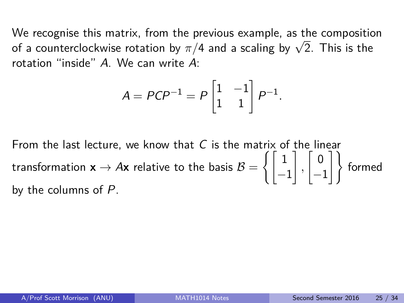We recognise this matrix, from the previous example, as the composition of a counterclockwise rotation by *π/*4 and a scaling by <sup>√</sup> 2. This is the rotation "inside" A. We can write A:

$$
A = PCP^{-1} = P\begin{bmatrix} 1 & -1 \\ 1 & 1 \end{bmatrix} P^{-1}.
$$

From the last lecture, we know that  $C$  is the matrix of the linear transformation  $\mathsf{x} \to A\mathsf{x}$  relative to the basis  $\mathcal{B} = \left\{ \left[ \begin{array}{ccc} 1 \end{array} \right]$ −1 1 *,*  $\begin{bmatrix} 0 \end{bmatrix}$  $\begin{bmatrix} 0 \\ -1 \end{bmatrix}$  formed by the columns of P.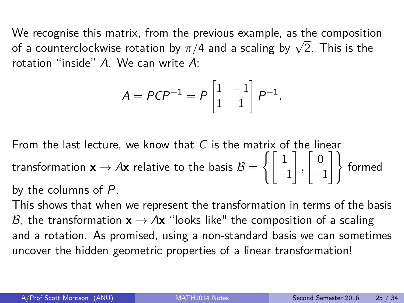We recognise this matrix, from the previous example, as the composition of a counterclockwise rotation by *π/*4 and a scaling by <sup>√</sup> 2. This is the rotation "inside" A. We can write A:

$$
A = PCP^{-1} = P\begin{bmatrix} 1 & -1 \\ 1 & 1 \end{bmatrix} P^{-1}.
$$

From the last lecture, we know that  $C$  is the matrix of the linear transformation  $\mathsf{x} \to A\mathsf{x}$  relative to the basis  $\mathcal{B} = \left\{ \left[ \begin{array}{ccc} 1 \end{array} \right]$ −1 1 *,*  $\begin{bmatrix} 0 \end{bmatrix}$  $\begin{bmatrix} 0 \\ -1 \end{bmatrix}$  formed by the columns of P.

This shows that when we represent the transformation in terms of the basis B, the transformation  $x \rightarrow Ax$  "looks like" the composition of a scaling and a rotation. As promised, using a non-standard basis we can sometimes uncover the hidden geometric properties of a linear transformation!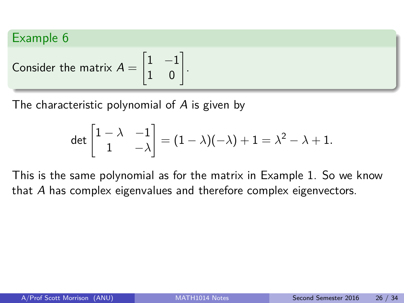Consider the matrix 
$$
A = \begin{bmatrix} 1 & -1 \\ 1 & 0 \end{bmatrix}
$$
.

The characteristic polynomial of A is given by

$$
\det\begin{bmatrix}1-\lambda & -1\\ 1 & -\lambda\end{bmatrix}=(1-\lambda)(-\lambda)+1=\lambda^2-\lambda+1.
$$

This is the same polynomial as for the matrix in Example 1. So we know that A has complex eigenvalues and therefore complex eigenvectors.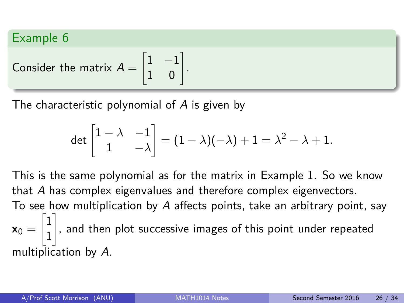Consider the matrix 
$$
A = \begin{bmatrix} 1 & -1 \\ 1 & 0 \end{bmatrix}
$$
.

The characteristic polynomial of A is given by

$$
\det\begin{bmatrix}1-\lambda & -1\\ 1 & -\lambda\end{bmatrix}=(1-\lambda)(-\lambda)+1=\lambda^2-\lambda+1.
$$

This is the same polynomial as for the matrix in Example 1. So we know that A has complex eigenvalues and therefore complex eigenvectors. To see how multiplication by A affects points, take an arbitrary point, say  $\mathbf{x}_0 =$  $\sqrt{1}$ 1 1 , and then plot successive images of this point under repeated multiplication by A.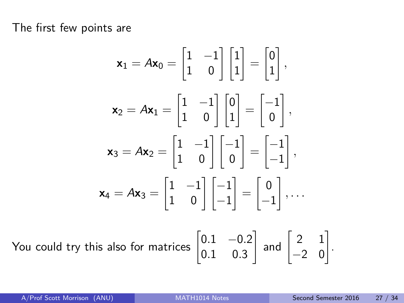The first few points are

$$
\mathbf{x}_1 = A\mathbf{x}_0 = \begin{bmatrix} 1 & -1 \\ 1 & 0 \end{bmatrix} \begin{bmatrix} 1 \\ 1 \end{bmatrix} = \begin{bmatrix} 0 \\ 1 \end{bmatrix},
$$

$$
\mathbf{x}_2 = A\mathbf{x}_1 = \begin{bmatrix} 1 & -1 \\ 1 & 0 \end{bmatrix} \begin{bmatrix} 0 \\ 1 \end{bmatrix} = \begin{bmatrix} -1 \\ 0 \end{bmatrix},
$$

$$
\mathbf{x}_3 = A\mathbf{x}_2 = \begin{bmatrix} 1 & -1 \\ 1 & 0 \end{bmatrix} \begin{bmatrix} -1 \\ 0 \end{bmatrix} = \begin{bmatrix} -1 \\ -1 \end{bmatrix},
$$

$$
\mathbf{x}_4 = A\mathbf{x}_3 = \begin{bmatrix} 1 & -1 \\ 1 & 0 \end{bmatrix} \begin{bmatrix} -1 \\ -1 \end{bmatrix} = \begin{bmatrix} 0 \\ -1 \end{bmatrix}, \dots
$$

You could try this also for matrid

$$
\text{ces } \begin{bmatrix} 0.1 & -0.2 \\ 0.1 & 0.3 \end{bmatrix} \text{ and } \begin{bmatrix} 2 & 1 \\ -2 & 0 \end{bmatrix}
$$

.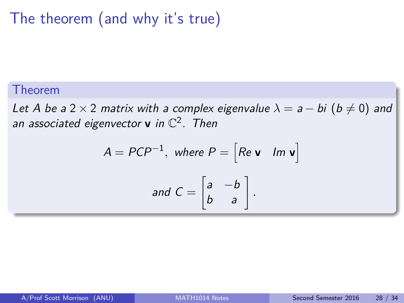# The theorem (and why it's true)

#### Theorem

Let A be a 2 × 2 matrix with a complex eigenvalue  $\lambda = a - bi$  ( $b \neq 0$ ) and an associated eigenvector **v** in  $\mathbb{C}^2$ . Then

$$
A = PCP^{-1}, \text{ where } P = \begin{bmatrix} Re \mathbf{v} & Im \mathbf{v} \end{bmatrix}
$$
  
and 
$$
C = \begin{bmatrix} a & -b \\ b & a \end{bmatrix}.
$$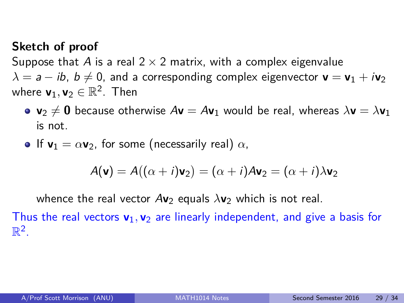#### **Sketch of proof**

Suppose that A is a real  $2 \times 2$  matrix, with a complex eigenvalue  $\lambda = a - ib$ ,  $b \neq 0$ , and a corresponding complex eigenvector **v** = **v**<sub>1</sub> + *i***v**<sub>2</sub> where  $\mathsf{v}_1, \mathsf{v}_2 \in \mathbb{R}^2$ . Then

- **•**  $\mathbf{v}_2 \neq \mathbf{0}$  because otherwise  $A\mathbf{v} = A\mathbf{v}_1$  would be real, whereas  $\lambda \mathbf{v} = \lambda \mathbf{v}_1$ is not.
- **•** If  $\mathbf{v}_1 = \alpha \mathbf{v}_2$ , for some (necessarily real)  $\alpha$ ,

$$
A(\mathbf{v}) = A((\alpha + i)\mathbf{v}_2) = (\alpha + i)A\mathbf{v}_2 = (\alpha + i)\lambda\mathbf{v}_2
$$

whence the real vector  $Av_2$  equals  $\lambda v_2$  which is not real.

Thus the real vectors **v**1*,* **v**<sup>2</sup> are linearly independent, and give a basis for  $\mathbb{R}^2$ .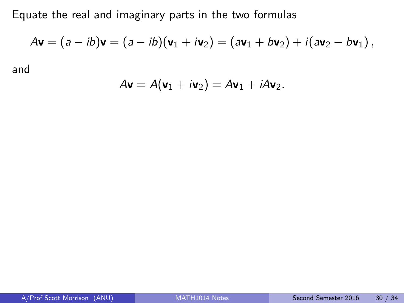Equate the real and imaginary parts in the two formulas

$$
A\mathbf{v} = (a - ib)\mathbf{v} = (a - ib)(\mathbf{v}_1 + i\mathbf{v}_2) = (a\mathbf{v}_1 + b\mathbf{v}_2) + i(a\mathbf{v}_2 - b\mathbf{v}_1),
$$

and

$$
A\mathbf{v}=A(\mathbf{v}_1+i\mathbf{v}_2)=A\mathbf{v}_1+iA\mathbf{v}_2.
$$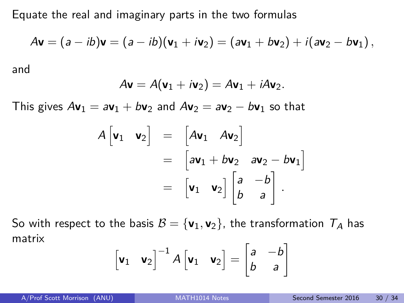Equate the real and imaginary parts in the two formulas

$$
Av = (a - ib)v = (a - ib)(v1 + iv2) = (av1 + bv2) + i(av2 - bv1),
$$

and

$$
A\mathbf{v}=A(\mathbf{v}_1+i\mathbf{v}_2)=A\mathbf{v}_1+iA\mathbf{v}_2.
$$

This gives  $A\mathbf{v}_1 = a\mathbf{v}_1 + b\mathbf{v}_2$  and  $A\mathbf{v}_2 = a\mathbf{v}_2 - b\mathbf{v}_1$  so that

$$
A[\mathbf{v}_1 \quad \mathbf{v}_2] = [A\mathbf{v}_1 \quad A\mathbf{v}_2]
$$
  
=  $[a\mathbf{v}_1 + b\mathbf{v}_2 \quad a\mathbf{v}_2 - b\mathbf{v}_1]$   
=  $[\mathbf{v}_1 \quad \mathbf{v}_2] \begin{bmatrix} a & -b \\ b & a \end{bmatrix}.$ 

So with respect to the basis  $B = {\bf v}_1, {\bf v}_2$ , the transformation  $T_A$  has matrix

$$
\begin{bmatrix} \mathbf{v}_1 & \mathbf{v}_2 \end{bmatrix}^{-1} A \begin{bmatrix} \mathbf{v}_1 & \mathbf{v}_2 \end{bmatrix} = \begin{bmatrix} a & -b \\ b & a \end{bmatrix}
$$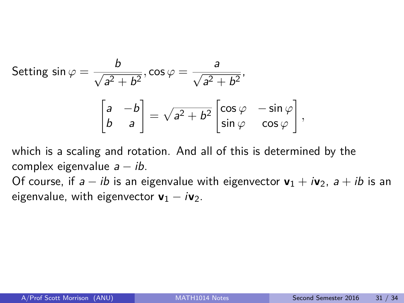Setting 
$$
\sin \varphi = \frac{b}{\sqrt{a^2 + b^2}}, \cos \varphi = \frac{a}{\sqrt{a^2 + b^2}},
$$
  

$$
\begin{bmatrix} a & -b \\ b & a \end{bmatrix} = \sqrt{a^2 + b^2} \begin{bmatrix} \cos \varphi & -\sin \varphi \\ \sin \varphi & \cos \varphi \end{bmatrix},
$$

which is a scaling and rotation. And all of this is determined by the complex eigenvalue  $a - ib$ .

Of course, if  $a - ib$  is an eigenvalue with eigenvector  $v_1 + iv_2$ ,  $a + ib$  is an eigenvalue, with eigenvector  $v_1 - iv_2$ .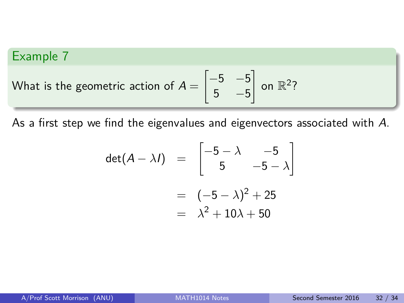What is the geometric action of 
$$
A = \begin{bmatrix} -5 & -5 \\ 5 & -5 \end{bmatrix}
$$
 on  $\mathbb{R}^2$ ?

As a first step we find the eigenvalues and eigenvectors associated with A.

$$
\det(A - \lambda I) = \begin{bmatrix} -5 - \lambda & -5 \\ 5 & -5 - \lambda \end{bmatrix}
$$

$$
= (-5 - \lambda)^2 + 25
$$

$$
= \lambda^2 + 10\lambda + 50
$$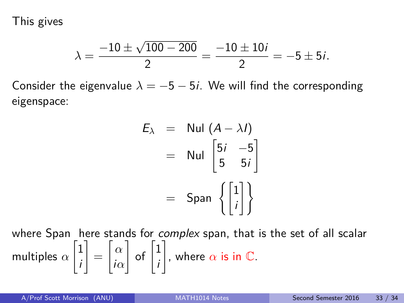This gives

$$
\lambda = \frac{-10 \pm \sqrt{100 - 200}}{2} = \frac{-10 \pm 10i}{2} = -5 \pm 5i.
$$

Consider the eigenvalue  $\lambda = -5 - 5i$ . We will find the corresponding eigenspace:

$$
E_{\lambda} = \text{Nul} (A - \lambda I)
$$
  
= \text{Nul}  $\begin{bmatrix} 5i & -5 \\ 5 & 5i \end{bmatrix}$   
= \text{Span}  $\left\{ \begin{bmatrix} 1 \\ i \end{bmatrix} \right\}$ 

where Span here stands for *complex* span, that is the set of all scalar multiples *α*  $\sqrt{1}$ i 1 =  $\lceil \alpha \rceil$ i*α*  $\Big]$  of  $\Big[ \frac{1}{2}$ i  $\Big]$ , where  $\alpha$  is in  $\mathbb C.$